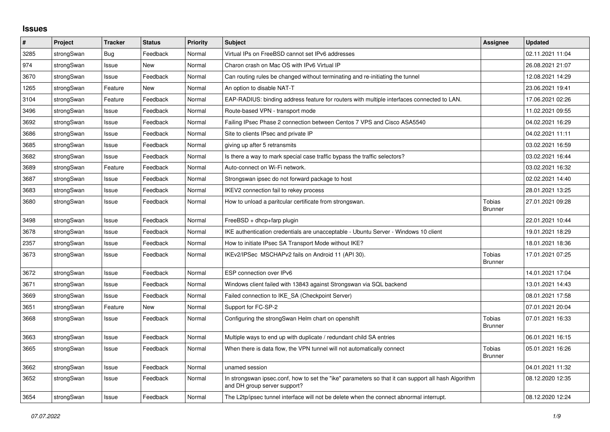## **Issues**

| #    | Project    | <b>Tracker</b> | <b>Status</b> | <b>Priority</b> | <b>Subject</b>                                                                                                                      | <b>Assignee</b>                 | <b>Updated</b>   |
|------|------------|----------------|---------------|-----------------|-------------------------------------------------------------------------------------------------------------------------------------|---------------------------------|------------------|
| 3285 | strongSwan | Bug            | Feedback      | Normal          | Virtual IPs on FreeBSD cannot set IPv6 addresses                                                                                    |                                 | 02.11.2021 11:04 |
| 974  | strongSwan | Issue          | New           | Normal          | Charon crash on Mac OS with IPv6 Virtual IP                                                                                         |                                 | 26.08.2021 21:07 |
| 3670 | strongSwan | Issue          | Feedback      | Normal          | Can routing rules be changed without terminating and re-initiating the tunnel                                                       |                                 | 12.08.2021 14:29 |
| 1265 | strongSwan | Feature        | <b>New</b>    | Normal          | An option to disable NAT-T                                                                                                          |                                 | 23.06.2021 19:41 |
| 3104 | strongSwan | Feature        | Feedback      | Normal          | EAP-RADIUS: binding address feature for routers with multiple interfaces connected to LAN.                                          |                                 | 17.06.2021 02:26 |
| 3496 | strongSwan | Issue          | Feedback      | Normal          | Route-based VPN - transport mode                                                                                                    |                                 | 11.02.2021 09:55 |
| 3692 | strongSwan | Issue          | Feedback      | Normal          | Failing IPsec Phase 2 connection between Centos 7 VPS and Cisco ASA5540                                                             |                                 | 04.02.2021 16:29 |
| 3686 | strongSwan | Issue          | Feedback      | Normal          | Site to clients IPsec and private IP                                                                                                |                                 | 04.02.2021 11:11 |
| 3685 | strongSwan | Issue          | Feedback      | Normal          | giving up after 5 retransmits                                                                                                       |                                 | 03.02.2021 16:59 |
| 3682 | strongSwan | Issue          | Feedback      | Normal          | Is there a way to mark special case traffic bypass the traffic selectors?                                                           |                                 | 03.02.2021 16:44 |
| 3689 | strongSwan | Feature        | Feedback      | Normal          | Auto-connect on Wi-Fi network.                                                                                                      |                                 | 03.02.2021 16:32 |
| 3687 | strongSwan | Issue          | Feedback      | Normal          | Strongswan ipsec do not forward package to host                                                                                     |                                 | 02.02.2021 14:40 |
| 3683 | strongSwan | Issue          | Feedback      | Normal          | IKEV2 connection fail to rekey process                                                                                              |                                 | 28.01.2021 13:25 |
| 3680 | strongSwan | Issue          | Feedback      | Normal          | How to unload a paritcular certificate from strongswan.                                                                             | <b>Tobias</b><br><b>Brunner</b> | 27.01.2021 09:28 |
| 3498 | strongSwan | Issue          | Feedback      | Normal          | $FreeBSD + dhcp + farp plugin$                                                                                                      |                                 | 22.01.2021 10:44 |
| 3678 | strongSwan | Issue          | Feedback      | Normal          | IKE authentication credentials are unacceptable - Ubuntu Server - Windows 10 client                                                 |                                 | 19.01.2021 18:29 |
| 2357 | strongSwan | Issue          | Feedback      | Normal          | How to initiate IPsec SA Transport Mode without IKE?                                                                                |                                 | 18.01.2021 18:36 |
| 3673 | strongSwan | Issue          | Feedback      | Normal          | IKEv2/IPSec MSCHAPv2 fails on Android 11 (API 30).                                                                                  | Tobias<br><b>Brunner</b>        | 17.01.2021 07:25 |
| 3672 | strongSwan | Issue          | Feedback      | Normal          | ESP connection over IPv6                                                                                                            |                                 | 14.01.2021 17:04 |
| 3671 | strongSwan | Issue          | Feedback      | Normal          | Windows client failed with 13843 against Strongswan via SQL backend                                                                 |                                 | 13.01.2021 14:43 |
| 3669 | strongSwan | Issue          | Feedback      | Normal          | Failed connection to IKE SA (Checkpoint Server)                                                                                     |                                 | 08.01.2021 17:58 |
| 3651 | strongSwan | Feature        | <b>New</b>    | Normal          | Support for FC-SP-2                                                                                                                 |                                 | 07.01.2021 20:04 |
| 3668 | strongSwan | Issue          | Feedback      | Normal          | Configuring the strongSwan Helm chart on openshift                                                                                  | Tobias<br><b>Brunner</b>        | 07.01.2021 16:33 |
| 3663 | strongSwan | Issue          | Feedback      | Normal          | Multiple ways to end up with duplicate / redundant child SA entries                                                                 |                                 | 06.01.2021 16:15 |
| 3665 | strongSwan | Issue          | Feedback      | Normal          | When there is data flow, the VPN tunnel will not automatically connect                                                              | Tobias<br><b>Brunner</b>        | 05.01.2021 16:26 |
| 3662 | strongSwan | Issue          | Feedback      | Normal          | unamed session                                                                                                                      |                                 | 04.01.2021 11:32 |
| 3652 | strongSwan | Issue          | Feedback      | Normal          | In strongswan ipsec.conf, how to set the "ike" parameters so that it can support all hash Algorithm<br>and DH group server support? |                                 | 08.12.2020 12:35 |
| 3654 | strongSwan | Issue          | Feedback      | Normal          | The L2tp/ipsec tunnel interface will not be delete when the connect abnormal interrupt.                                             |                                 | 08.12.2020 12:24 |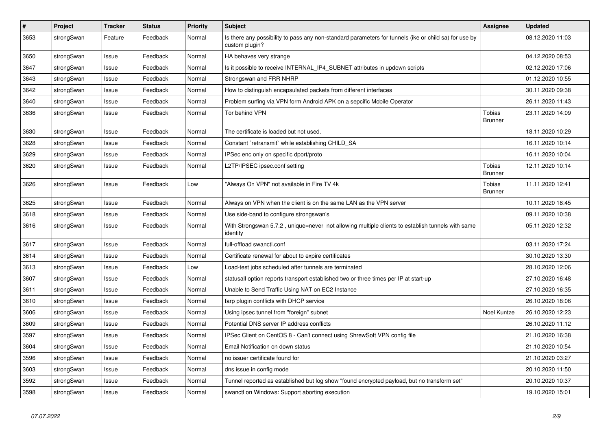| $\pmb{\#}$ | Project    | <b>Tracker</b> | <b>Status</b> | <b>Priority</b> | <b>Subject</b>                                                                                                          | <b>Assignee</b>                 | <b>Updated</b>   |
|------------|------------|----------------|---------------|-----------------|-------------------------------------------------------------------------------------------------------------------------|---------------------------------|------------------|
| 3653       | strongSwan | Feature        | Feedback      | Normal          | Is there any possibility to pass any non-standard parameters for tunnels (ike or child sa) for use by<br>custom plugin? |                                 | 08.12.2020 11:03 |
| 3650       | strongSwan | Issue          | Feedback      | Normal          | HA behaves very strange                                                                                                 |                                 | 04.12.2020 08:53 |
| 3647       | strongSwan | Issue          | Feedback      | Normal          | Is it possible to receive INTERNAL_IP4_SUBNET attributes in updown scripts                                              |                                 | 02.12.2020 17:06 |
| 3643       | strongSwan | Issue          | Feedback      | Normal          | Strongswan and FRR NHRP                                                                                                 |                                 | 01.12.2020 10:55 |
| 3642       | strongSwan | Issue          | Feedback      | Normal          | How to distinguish encapsulated packets from different interfaces                                                       |                                 | 30.11.2020 09:38 |
| 3640       | strongSwan | Issue          | Feedback      | Normal          | Problem surfing via VPN form Android APK on a sepcific Mobile Operator                                                  |                                 | 26.11.2020 11:43 |
| 3636       | strongSwan | Issue          | Feedback      | Normal          | Tor behind VPN                                                                                                          | <b>Tobias</b><br><b>Brunner</b> | 23.11.2020 14:09 |
| 3630       | strongSwan | Issue          | Feedback      | Normal          | The certificate is loaded but not used.                                                                                 |                                 | 18.11.2020 10:29 |
| 3628       | strongSwan | Issue          | Feedback      | Normal          | Constant `retransmit` while establishing CHILD_SA                                                                       |                                 | 16.11.2020 10:14 |
| 3629       | strongSwan | Issue          | Feedback      | Normal          | IPSec enc only on specific dport/proto                                                                                  |                                 | 16.11.2020 10:04 |
| 3620       | strongSwan | Issue          | Feedback      | Normal          | L2TP/IPSEC ipsec.conf setting                                                                                           | <b>Tobias</b><br><b>Brunner</b> | 12.11.2020 10:14 |
| 3626       | strongSwan | Issue          | Feedback      | Low             | "Always On VPN" not available in Fire TV 4k                                                                             | <b>Tobias</b><br><b>Brunner</b> | 11.11.2020 12:41 |
| 3625       | strongSwan | Issue          | Feedback      | Normal          | Always on VPN when the client is on the same LAN as the VPN server                                                      |                                 | 10.11.2020 18:45 |
| 3618       | strongSwan | Issue          | Feedback      | Normal          | Use side-band to configure strongswan's                                                                                 |                                 | 09.11.2020 10:38 |
| 3616       | strongSwan | Issue          | Feedback      | Normal          | With Strongswan 5.7.2, unique=never not allowing multiple clients to establish tunnels with same<br>identity            |                                 | 05.11.2020 12:32 |
| 3617       | strongSwan | Issue          | Feedback      | Normal          | full-offload swanctl.conf                                                                                               |                                 | 03.11.2020 17:24 |
| 3614       | strongSwan | Issue          | Feedback      | Normal          | Certificate renewal for about to expire certificates                                                                    |                                 | 30.10.2020 13:30 |
| 3613       | strongSwan | Issue          | Feedback      | Low             | Load-test jobs scheduled after tunnels are terminated                                                                   |                                 | 28.10.2020 12:06 |
| 3607       | strongSwan | Issue          | Feedback      | Normal          | statusall option reports transport established two or three times per IP at start-up                                    |                                 | 27.10.2020 16:48 |
| 3611       | strongSwan | Issue          | Feedback      | Normal          | Unable to Send Traffic Using NAT on EC2 Instance                                                                        |                                 | 27.10.2020 16:35 |
| 3610       | strongSwan | Issue          | Feedback      | Normal          | farp plugin conflicts with DHCP service                                                                                 |                                 | 26.10.2020 18:06 |
| 3606       | strongSwan | Issue          | Feedback      | Normal          | Using ipsec tunnel from "foreign" subnet                                                                                | Noel Kuntze                     | 26.10.2020 12:23 |
| 3609       | strongSwan | Issue          | Feedback      | Normal          | Potential DNS server IP address conflicts                                                                               |                                 | 26.10.2020 11:12 |
| 3597       | strongSwan | Issue          | Feedback      | Normal          | IPSec Client on CentOS 8 - Can't connect using ShrewSoft VPN config file                                                |                                 | 21.10.2020 16:38 |
| 3604       | strongSwan | Issue          | Feedback      | Normal          | Email Notification on down status                                                                                       |                                 | 21.10.2020 10:54 |
| 3596       | strongSwan | Issue          | Feedback      | Normal          | no issuer certificate found for                                                                                         |                                 | 21.10.2020 03:27 |
| 3603       | strongSwan | Issue          | Feedback      | Normal          | dns issue in config mode                                                                                                |                                 | 20.10.2020 11:50 |
| 3592       | strongSwan | Issue          | Feedback      | Normal          | Tunnel reported as established but log show "found encrypted payload, but no transform set"                             |                                 | 20.10.2020 10:37 |
| 3598       | strongSwan | Issue          | Feedback      | Normal          | swanctl on Windows: Support aborting execution                                                                          |                                 | 19.10.2020 15:01 |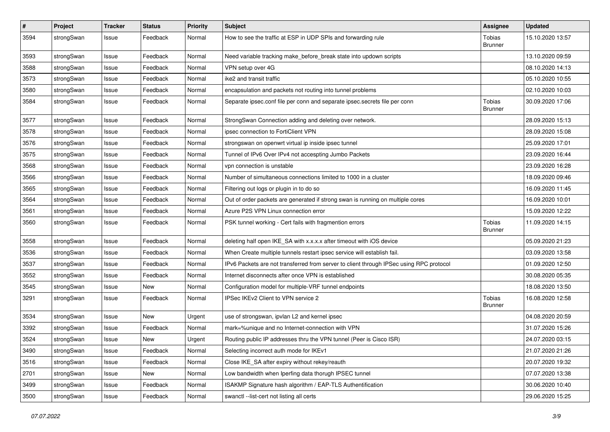| $\pmb{\#}$ | Project    | <b>Tracker</b> | <b>Status</b> | <b>Priority</b> | <b>Subject</b>                                                                          | <b>Assignee</b>          | <b>Updated</b>   |
|------------|------------|----------------|---------------|-----------------|-----------------------------------------------------------------------------------------|--------------------------|------------------|
| 3594       | strongSwan | Issue          | Feedback      | Normal          | How to see the traffic at ESP in UDP SPIs and forwarding rule                           | Tobias<br><b>Brunner</b> | 15.10.2020 13:57 |
| 3593       | strongSwan | Issue          | Feedback      | Normal          | Need variable tracking make_before_break state into updown scripts                      |                          | 13.10.2020 09:59 |
| 3588       | strongSwan | Issue          | Feedback      | Normal          | VPN setup over 4G                                                                       |                          | 08.10.2020 14:13 |
| 3573       | strongSwan | Issue          | Feedback      | Normal          | ike2 and transit traffic                                                                |                          | 05.10.2020 10:55 |
| 3580       | strongSwan | Issue          | Feedback      | Normal          | encapsulation and packets not routing into tunnel problems                              |                          | 02.10.2020 10:03 |
| 3584       | strongSwan | Issue          | Feedback      | Normal          | Separate ipsec.conf file per conn and separate ipsec.secrets file per conn              | Tobias<br>Brunner        | 30.09.2020 17:06 |
| 3577       | strongSwan | Issue          | Feedback      | Normal          | StrongSwan Connection adding and deleting over network.                                 |                          | 28.09.2020 15:13 |
| 3578       | strongSwan | Issue          | Feedback      | Normal          | ipsec connection to FortiClient VPN                                                     |                          | 28.09.2020 15:08 |
| 3576       | strongSwan | Issue          | Feedback      | Normal          | strongswan on openwrt virtual ip inside ipsec tunnel                                    |                          | 25.09.2020 17:01 |
| 3575       | strongSwan | Issue          | Feedback      | Normal          | Tunnel of IPv6 Over IPv4 not accespting Jumbo Packets                                   |                          | 23.09.2020 16:44 |
| 3568       | strongSwan | Issue          | Feedback      | Normal          | vpn connection is unstable                                                              |                          | 23.09.2020 16:28 |
| 3566       | strongSwan | Issue          | Feedback      | Normal          | Number of simultaneous connections limited to 1000 in a cluster                         |                          | 18.09.2020 09:46 |
| 3565       | strongSwan | Issue          | Feedback      | Normal          | Filtering out logs or plugin in to do so                                                |                          | 16.09.2020 11:45 |
| 3564       | strongSwan | Issue          | Feedback      | Normal          | Out of order packets are generated if strong swan is running on multiple cores          |                          | 16.09.2020 10:01 |
| 3561       | strongSwan | Issue          | Feedback      | Normal          | Azure P2S VPN Linux connection error                                                    |                          | 15.09.2020 12:22 |
| 3560       | strongSwan | Issue          | Feedback      | Normal          | PSK tunnel working - Cert fails with fragmention errors                                 | Tobias<br><b>Brunner</b> | 11.09.2020 14:15 |
| 3558       | strongSwan | Issue          | Feedback      | Normal          | deleting half open IKE_SA with x.x.x.x after timeout with iOS device                    |                          | 05.09.2020 21:23 |
| 3536       | strongSwan | Issue          | Feedback      | Normal          | When Create multiple tunnels restart ipsec service will establish fail.                 |                          | 03.09.2020 13:58 |
| 3537       | strongSwan | Issue          | Feedback      | Normal          | IPv6 Packets are not transferred from server to client through IPSec using RPC protocol |                          | 01.09.2020 12:50 |
| 3552       | strongSwan | Issue          | Feedback      | Normal          | Internet disconnects after once VPN is established                                      |                          | 30.08.2020 05:35 |
| 3545       | strongSwan | Issue          | New           | Normal          | Configuration model for multiple-VRF tunnel endpoints                                   |                          | 18.08.2020 13:50 |
| 3291       | strongSwan | Issue          | Feedback      | Normal          | IPSec IKEv2 Client to VPN service 2                                                     | Tobias<br><b>Brunner</b> | 16.08.2020 12:58 |
| 3534       | strongSwan | Issue          | New           | Urgent          | use of strongswan, ipvlan L2 and kernel ipsec                                           |                          | 04.08.2020 20:59 |
| 3392       | strongSwan | Issue          | Feedback      | Normal          | mark=%unique and no Internet-connection with VPN                                        |                          | 31.07.2020 15:26 |
| 3524       | strongSwan | Issue          | New           | Urgent          | Routing public IP addresses thru the VPN tunnel (Peer is Cisco ISR)                     |                          | 24.07.2020 03:15 |
| 3490       | strongSwan | Issue          | Feedback      | Normal          | Selecting incorrect auth mode for IKEv1                                                 |                          | 21.07.2020 21:26 |
| 3516       | strongSwan | Issue          | Feedback      | Normal          | Close IKE_SA after expiry without rekey/reauth                                          |                          | 20.07.2020 19:32 |
| 2701       | strongSwan | Issue          | New           | Normal          | Low bandwidth when Iperfing data thorugh IPSEC tunnel                                   |                          | 07.07.2020 13:38 |
| 3499       | strongSwan | Issue          | Feedback      | Normal          | ISAKMP Signature hash algorithm / EAP-TLS Authentification                              |                          | 30.06.2020 10:40 |
| 3500       | strongSwan | Issue          | Feedback      | Normal          | swanctl --list-cert not listing all certs                                               |                          | 29.06.2020 15:25 |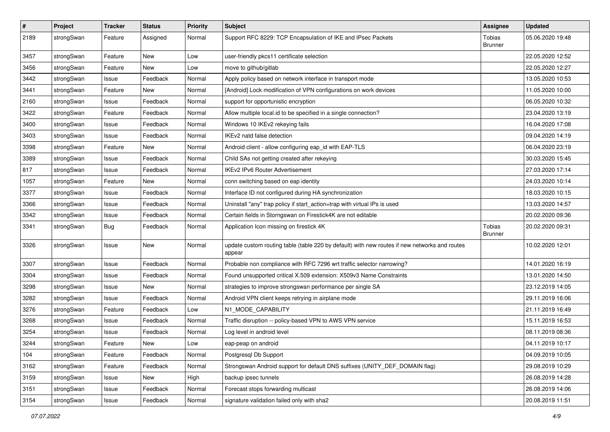| $\sharp$ | Project    | <b>Tracker</b> | <b>Status</b> | <b>Priority</b> | <b>Subject</b>                                                                                          | <b>Assignee</b>          | <b>Updated</b>   |
|----------|------------|----------------|---------------|-----------------|---------------------------------------------------------------------------------------------------------|--------------------------|------------------|
| 2189     | strongSwan | Feature        | Assigned      | Normal          | Support RFC 8229: TCP Encapsulation of IKE and IPsec Packets                                            | Tobias<br><b>Brunner</b> | 05.06.2020 19:48 |
| 3457     | strongSwan | Feature        | New           | Low             | user-friendly pkcs11 certificate selection                                                              |                          | 22.05.2020 12:52 |
| 3456     | strongSwan | Feature        | New           | Low             | move to github/gitlab                                                                                   |                          | 22.05.2020 12:27 |
| 3442     | strongSwan | Issue          | Feedback      | Normal          | Apply policy based on network interface in transport mode                                               |                          | 13.05.2020 10:53 |
| 3441     | strongSwan | Feature        | New           | Normal          | [Android] Lock modification of VPN configurations on work devices                                       |                          | 11.05.2020 10:00 |
| 2160     | strongSwan | Issue          | Feedback      | Normal          | support for opportunistic encryption                                                                    |                          | 06.05.2020 10:32 |
| 3422     | strongSwan | Feature        | Feedback      | Normal          | Allow multiple local.id to be specified in a single connection?                                         |                          | 23.04.2020 13:19 |
| 3400     | strongSwan | Issue          | Feedback      | Normal          | Windows 10 IKEv2 rekeying fails                                                                         |                          | 16.04.2020 17:08 |
| 3403     | strongSwan | Issue          | Feedback      | Normal          | IKEv2 natd false detection                                                                              |                          | 09.04.2020 14:19 |
| 3398     | strongSwan | Feature        | New           | Normal          | Android client - allow configuring eap_id with EAP-TLS                                                  |                          | 06.04.2020 23:19 |
| 3389     | strongSwan | Issue          | Feedback      | Normal          | Child SAs not getting created after rekeying                                                            |                          | 30.03.2020 15:45 |
| 817      | strongSwan | Issue          | Feedback      | Normal          | <b>IKEv2 IPv6 Router Advertisement</b>                                                                  |                          | 27.03.2020 17:14 |
| 1057     | strongSwan | Feature        | <b>New</b>    | Normal          | conn switching based on eap identity                                                                    |                          | 24.03.2020 10:14 |
| 3377     | strongSwan | Issue          | Feedback      | Normal          | Interface ID not configured during HA synchronization                                                   |                          | 18.03.2020 10:15 |
| 3366     | strongSwan | Issue          | Feedback      | Normal          | Uninstall "any" trap policy if start_action=trap with virtual IPs is used                               |                          | 13.03.2020 14:57 |
| 3342     | strongSwan | Issue          | Feedback      | Normal          | Certain fields in Storngswan on Firestick4K are not editable                                            |                          | 20.02.2020 09:36 |
| 3341     | strongSwan | <b>Bug</b>     | Feedback      | Normal          | Application Icon missing on firestick 4K                                                                | Tobias<br><b>Brunner</b> | 20.02.2020 09:31 |
| 3326     | strongSwan | Issue          | <b>New</b>    | Normal          | update custom routing table (table 220 by default) with new routes if new networks and routes<br>appear |                          | 10.02.2020 12:01 |
| 3307     | strongSwan | Issue          | Feedback      | Normal          | Probable non compliance with RFC 7296 wrt traffic selector narrowing?                                   |                          | 14.01.2020 16:19 |
| 3304     | strongSwan | Issue          | Feedback      | Normal          | Found unsupported critical X.509 extension: X509v3 Name Constraints                                     |                          | 13.01.2020 14:50 |
| 3298     | strongSwan | Issue          | New           | Normal          | strategies to improve strongswan performance per single SA                                              |                          | 23.12.2019 14:05 |
| 3282     | strongSwan | Issue          | Feedback      | Normal          | Android VPN client keeps retrying in airplane mode                                                      |                          | 29.11.2019 16:06 |
| 3276     | strongSwan | Feature        | Feedback      | Low             | N1 MODE CAPABILITY                                                                                      |                          | 21.11.2019 16:49 |
| 3268     | strongSwan | Issue          | Feedback      | Normal          | Traffic disruption -- policy-based VPN to AWS VPN service                                               |                          | 15.11.2019 16:53 |
| 3254     | strongSwan | Issue          | Feedback      | Normal          | Log level in android level                                                                              |                          | 08.11.2019 08:36 |
| 3244     | strongSwan | Feature        | New           | Low             | eap-peap on android                                                                                     |                          | 04.11.2019 10:17 |
| 104      | strongSwan | Feature        | Feedback      | Normal          | Postgresgl Db Support                                                                                   |                          | 04.09.2019 10:05 |
| 3162     | strongSwan | Feature        | Feedback      | Normal          | Strongswan Android support for default DNS suffixes (UNITY_DEF_DOMAIN flag)                             |                          | 29.08.2019 10:29 |
| 3159     | strongSwan | Issue          | New           | High            | backup ipsec tunnels                                                                                    |                          | 26.08.2019 14:28 |
| 3151     | strongSwan | Issue          | Feedback      | Normal          | Forecast stops forwarding multicast                                                                     |                          | 26.08.2019 14:06 |
| 3154     | strongSwan | Issue          | Feedback      | Normal          | signature validation failed only with sha2                                                              |                          | 20.08.2019 11:51 |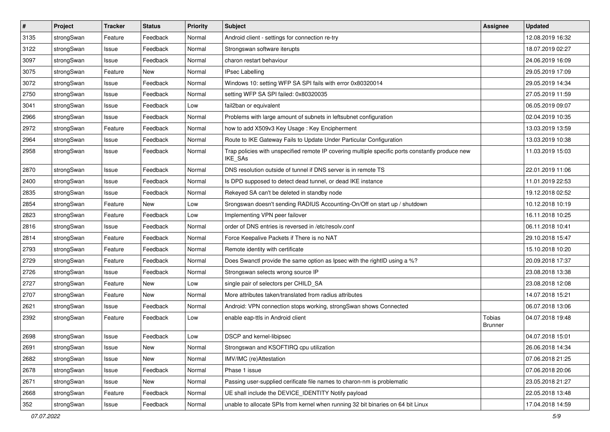| $\pmb{\#}$ | Project    | <b>Tracker</b> | <b>Status</b> | <b>Priority</b> | <b>Subject</b>                                                                                              | <b>Assignee</b>          | <b>Updated</b>   |
|------------|------------|----------------|---------------|-----------------|-------------------------------------------------------------------------------------------------------------|--------------------------|------------------|
| 3135       | strongSwan | Feature        | Feedback      | Normal          | Android client - settings for connection re-try                                                             |                          | 12.08.2019 16:32 |
| 3122       | strongSwan | Issue          | Feedback      | Normal          | Strongswan software iterupts                                                                                |                          | 18.07.2019 02:27 |
| 3097       | strongSwan | Issue          | Feedback      | Normal          | charon restart behaviour                                                                                    |                          | 24.06.2019 16:09 |
| 3075       | strongSwan | Feature        | New           | Normal          | <b>IPsec Labelling</b>                                                                                      |                          | 29.05.2019 17:09 |
| 3072       | strongSwan | Issue          | Feedback      | Normal          | Windows 10: setting WFP SA SPI fails with error 0x80320014                                                  |                          | 29.05.2019 14:34 |
| 2750       | strongSwan | Issue          | Feedback      | Normal          | setting WFP SA SPI failed: 0x80320035                                                                       |                          | 27.05.2019 11:59 |
| 3041       | strongSwan | Issue          | Feedback      | Low             | fail2ban or equivalent                                                                                      |                          | 06.05.2019 09:07 |
| 2966       | strongSwan | Issue          | Feedback      | Normal          | Problems with large amount of subnets in leftsubnet configuration                                           |                          | 02.04.2019 10:35 |
| 2972       | strongSwan | Feature        | Feedback      | Normal          | how to add X509v3 Key Usage: Key Encipherment                                                               |                          | 13.03.2019 13:59 |
| 2964       | strongSwan | Issue          | Feedback      | Normal          | Route to IKE Gateway Fails to Update Under Particular Configuration                                         |                          | 13.03.2019 10:38 |
| 2958       | strongSwan | Issue          | Feedback      | Normal          | Trap policies with unspecified remote IP covering multiple specific ports constantly produce new<br>IKE_SAs |                          | 11.03.2019 15:03 |
| 2870       | strongSwan | Issue          | Feedback      | Normal          | DNS resolution outside of tunnel if DNS server is in remote TS                                              |                          | 22.01.2019 11:06 |
| 2400       | strongSwan | Issue          | Feedback      | Normal          | Is DPD supposed to detect dead tunnel, or dead IKE instance                                                 |                          | 11.01.2019 22:53 |
| 2835       | strongSwan | Issue          | Feedback      | Normal          | Rekeyed SA can't be deleted in standby node                                                                 |                          | 19.12.2018 02:52 |
| 2854       | strongSwan | Feature        | New           | Low             | Srongswan doesn't sending RADIUS Accounting-On/Off on start up / shutdown                                   |                          | 10.12.2018 10:19 |
| 2823       | strongSwan | Feature        | Feedback      | Low             | Implementing VPN peer failover                                                                              |                          | 16.11.2018 10:25 |
| 2816       | strongSwan | Issue          | Feedback      | Normal          | order of DNS entries is reversed in /etc/resolv.conf                                                        |                          | 06.11.2018 10:41 |
| 2814       | strongSwan | Feature        | Feedback      | Normal          | Force Keepalive Packets if There is no NAT                                                                  |                          | 29.10.2018 15:47 |
| 2793       | strongSwan | Feature        | Feedback      | Normal          | Remote identity with certificate                                                                            |                          | 15.10.2018 10:20 |
| 2729       | strongSwan | Feature        | Feedback      | Normal          | Does Swanctl provide the same option as Ipsec with the rightID using a %?                                   |                          | 20.09.2018 17:37 |
| 2726       | strongSwan | Issue          | Feedback      | Normal          | Strongswan selects wrong source IP                                                                          |                          | 23.08.2018 13:38 |
| 2727       | strongSwan | Feature        | New           | Low             | single pair of selectors per CHILD_SA                                                                       |                          | 23.08.2018 12:08 |
| 2707       | strongSwan | Feature        | New           | Normal          | More attributes taken/translated from radius attributes                                                     |                          | 14.07.2018 15:21 |
| 2621       | strongSwan | Issue          | Feedback      | Normal          | Android: VPN connection stops working, strongSwan shows Connected                                           |                          | 06.07.2018 13:06 |
| 2392       | strongSwan | Feature        | Feedback      | Low             | enable eap-ttls in Android client                                                                           | Tobias<br><b>Brunner</b> | 04.07.2018 19:48 |
| 2698       | strongSwan | Issue          | Feedback      | Low             | DSCP and kernel-libipsec                                                                                    |                          | 04.07.2018 15:01 |
| 2691       | strongSwan | Issue          | New           | Normal          | Strongswan and KSOFTIRQ cpu utilization                                                                     |                          | 26.06.2018 14:34 |
| 2682       | strongSwan | Issue          | New           | Normal          | IMV/IMC (re)Attestation                                                                                     |                          | 07.06.2018 21:25 |
| 2678       | strongSwan | Issue          | Feedback      | Normal          | Phase 1 issue                                                                                               |                          | 07.06.2018 20:06 |
| 2671       | strongSwan | Issue          | New           | Normal          | Passing user-supplied cerificate file names to charon-nm is problematic                                     |                          | 23.05.2018 21:27 |
| 2668       | strongSwan | Feature        | Feedback      | Normal          | UE shall include the DEVICE_IDENTITY Notify payload                                                         |                          | 22.05.2018 13:48 |
| 352        | strongSwan | Issue          | Feedback      | Normal          | unable to allocate SPIs from kernel when running 32 bit binaries on 64 bit Linux                            |                          | 17.04.2018 14:59 |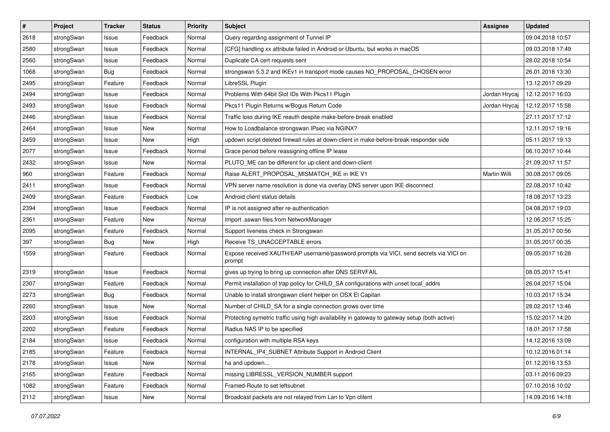| #    | Project    | <b>Tracker</b> | <b>Status</b> | <b>Priority</b> | <b>Subject</b>                                                                                   | <b>Assignee</b> | <b>Updated</b>   |
|------|------------|----------------|---------------|-----------------|--------------------------------------------------------------------------------------------------|-----------------|------------------|
| 2618 | strongSwan | Issue          | Feedback      | Normal          | Query regarding assignment of Tunnel IP                                                          |                 | 09.04.2018 10:57 |
| 2580 | strongSwan | Issue          | Feedback      | Normal          | [CFG] handling xx attribute failed in Android or Ubuntu, but works in macOS                      |                 | 09.03.2018 17:49 |
| 2560 | strongSwan | Issue          | Feedback      | Normal          | Duplicate CA cert requests sent                                                                  |                 | 28.02.2018 10:54 |
| 1068 | strongSwan | Bug            | Feedback      | Normal          | strongswan 5.3.2 and IKEv1 in transport mode causes NO_PROPOSAL_CHOSEN error                     |                 | 26.01.2018 13:30 |
| 2495 | strongSwan | Feature        | Feedback      | Normal          | LibreSSL Plugin                                                                                  |                 | 13.12.2017 09:29 |
| 2494 | strongSwan | Issue          | Feedback      | Normal          | Problems With 64bit Slot IDs With Pkcs11 Plugin                                                  | Jordan Hrycaj   | 12.12.2017 16:03 |
| 2493 | strongSwan | Issue          | Feedback      | Normal          | Pkcs11 Plugin Returns w/Bogus Return Code                                                        | Jordan Hrycaj   | 12.12.2017 15:58 |
| 2446 | strongSwan | Issue          | Feedback      | Normal          | Traffic loss during IKE reauth despite make-before-break enabled                                 |                 | 27.11.2017 17:12 |
| 2464 | strongSwan | Issue          | <b>New</b>    | Normal          | How to Loadbalance strongswan IPsec via NGINX?                                                   |                 | 12.11.2017 19:16 |
| 2459 | strongSwan | Issue          | <b>New</b>    | High            | updown script deleted firewall rules at down-client in make-before-break responder side          |                 | 05.11.2017 19:13 |
| 2077 | strongSwan | Issue          | Feedback      | Normal          | Grace period before reassigning offline IP lease                                                 |                 | 06.10.2017 10:44 |
| 2432 | strongSwan | Issue          | New           | Normal          | PLUTO_ME can be different for up-client and down-client                                          |                 | 21.09.2017 11:57 |
| 960  | strongSwan | Feature        | Feedback      | Normal          | Raise ALERT PROPOSAL MISMATCH IKE in IKE V1                                                      | Martin Willi    | 30.08.2017 09:05 |
| 2411 | strongSwan | Issue          | Feedback      | Normal          | VPN server name resolution is done via overlay DNS server upon IKE disconnect                    |                 | 22.08.2017 10:42 |
| 2409 | strongSwan | Feature        | Feedback      | Low             | Android client status details                                                                    |                 | 18.08.2017 13:23 |
| 2394 | strongSwan | Issue          | Feedback      | Normal          | IP is not assigned after re-authentication                                                       |                 | 04.08.2017 19:03 |
| 2361 | strongSwan | Feature        | New           | Normal          | Import .sswan files from NetworkManager                                                          |                 | 12.06.2017 15:25 |
| 2095 | strongSwan | Feature        | Feedback      | Normal          | Support liveness check in Strongswan                                                             |                 | 31.05.2017 00:56 |
| 397  | strongSwan | <b>Bug</b>     | New           | High            | Receive TS_UNACCEPTABLE errors                                                                   |                 | 31.05.2017 00:35 |
| 1559 | strongSwan | Feature        | Feedback      | Normal          | Expose received XAUTH/EAP username/password prompts via VICI, send secrets via VICI on<br>prompt |                 | 09.05.2017 16:28 |
| 2319 | strongSwan | Issue          | Feedback      | Normal          | gives up trying to bring up connection after DNS SERVFAIL                                        |                 | 08.05.2017 15:41 |
| 2307 | strongSwan | Feature        | Feedback      | Normal          | Permit installation of trap policy for CHILD_SA configurations with unset local_addrs            |                 | 26.04.2017 15:04 |
| 2273 | strongSwan | <b>Bug</b>     | Feedback      | Normal          | Unable to install strongswan client helper on OSX El Capitan                                     |                 | 10.03.2017 15:34 |
| 2260 | strongSwan | Issue          | New           | Normal          | Number of CHILD_SA for a single connection grows over time                                       |                 | 28.02.2017 13:46 |
| 2203 | strongSwan | Issue          | Feedback      | Normal          | Protecting symetric traffic using high availability in gateway to gateway setup (both active)    |                 | 15.02.2017 14:20 |
| 2202 | strongSwan | Feature        | Feedback      | Normal          | Radius NAS IP to be specified                                                                    |                 | 18.01.2017 17:58 |
| 2184 | strongSwan | Issue          | Feedback      | Normal          | configuration with multiple RSA keys                                                             |                 | 14.12.2016 13:09 |
| 2185 | strongSwan | Feature        | Feedback      | Normal          | INTERNAL_IP4_SUBNET Attribute Support in Android Client                                          |                 | 10.12.2016 01:14 |
| 2178 | strongSwan | Issue          | New           | Normal          | ha and updown                                                                                    |                 | 01.12.2016 13:53 |
| 2165 | strongSwan | Feature        | Feedback      | Normal          | missing LIBRESSL_VERSION_NUMBER support                                                          |                 | 03.11.2016 09:23 |
| 1082 | strongSwan | Feature        | Feedback      | Normal          | Framed-Route to set leftsubnet                                                                   |                 | 07.10.2016 10:02 |
| 2112 | strongSwan | Issue          | New           | Normal          | Broadcast packets are not relayed from Lan to Vpn clilent                                        |                 | 14.09.2016 14:18 |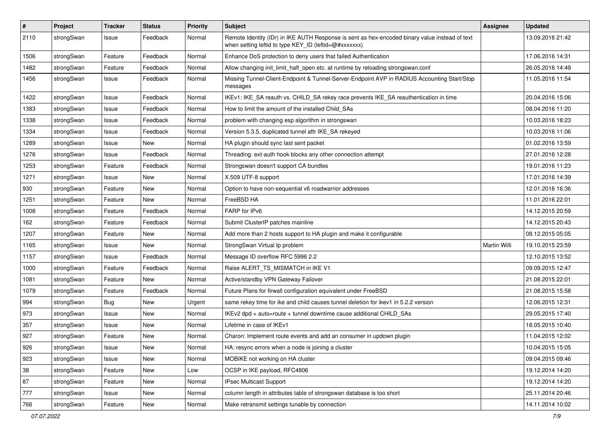| $\sharp$ | Project    | <b>Tracker</b> | <b>Status</b> | <b>Priority</b> | <b>Subject</b>                                                                                                                                          | <b>Assignee</b>     | <b>Updated</b>   |
|----------|------------|----------------|---------------|-----------------|---------------------------------------------------------------------------------------------------------------------------------------------------------|---------------------|------------------|
| 2110     | strongSwan | Issue          | Feedback      | Normal          | Remote Identity (IDr) in IKE AUTH Response is sent as hex-encoded binary value instead of text<br>when setting leftid to type KEY_ID (leftid=@#xxxxxxx) |                     | 13.09.2016 21:42 |
| 1506     | strongSwan | Feature        | Feedback      | Normal          | Enhance DoS protection to deny users that failed Authentication                                                                                         |                     | 17.06.2016 14:31 |
| 1482     | strongSwan | Feature        | Feedback      | Normal          | Allow changing init_limit_half_open etc. at runtime by reloading strongswan.conf                                                                        |                     | 26.05.2016 14:49 |
| 1456     | strongSwan | Issue          | Feedback      | Normal          | Missing Tunnel-Client-Endpoint & Tunnel-Server-Endpoint AVP in RADIUS Accounting Start/Stop<br>messages                                                 |                     | 11.05.2016 11:54 |
| 1422     | strongSwan | Issue          | Feedback      | Normal          | IKEv1: IKE_SA reauth vs. CHILD_SA rekey race prevents IKE_SA reauthentication in time                                                                   |                     | 20.04.2016 15:06 |
| 1383     | strongSwan | Issue          | Feedback      | Normal          | How to limit the amount of the installed Child_SAs                                                                                                      |                     | 08.04.2016 11:20 |
| 1338     | strongSwan | Issue          | Feedback      | Normal          | problem with changing esp algorithm in strongswan                                                                                                       |                     | 10.03.2016 18:23 |
| 1334     | strongSwan | Issue          | Feedback      | Normal          | Version 5.3.5, duplicated tunnel aftr IKE_SA rekeyed                                                                                                    |                     | 10.03.2016 11:06 |
| 1289     | strongSwan | Issue          | New           | Normal          | HA plugin should sync last sent packet                                                                                                                  |                     | 01.02.2016 13:59 |
| 1276     | strongSwan | Issue          | Feedback      | Normal          | Threading: ext-auth hook blocks any other connection attempt                                                                                            |                     | 27.01.2016 12:28 |
| 1253     | strongSwan | Feature        | Feedback      | Normal          | Strongswan doesn't support CA bundles                                                                                                                   |                     | 19.01.2016 11:23 |
| 1271     | strongSwan | Issue          | New           | Normal          | X.509 UTF-8 support                                                                                                                                     |                     | 17.01.2016 14:39 |
| 930      | strongSwan | Feature        | New           | Normal          | Option to have non-sequential v6 roadwarrior addresses                                                                                                  |                     | 12.01.2016 16:36 |
| 1251     | strongSwan | Feature        | New           | Normal          | FreeBSD HA                                                                                                                                              |                     | 11.01.2016 22:01 |
| 1008     | strongSwan | Feature        | Feedback      | Normal          | FARP for IPv6                                                                                                                                           |                     | 14.12.2015 20:59 |
| 162      | strongSwan | Feature        | Feedback      | Normal          | Submit ClusterIP patches mainline                                                                                                                       |                     | 14.12.2015 20:43 |
| 1207     | strongSwan | Feature        | New           | Normal          | Add more than 2 hosts support to HA plugin and make it configurable                                                                                     |                     | 08.12.2015 05:05 |
| 1165     | strongSwan | Issue          | New           | Normal          | StrongSwan Virtual Ip problem                                                                                                                           | <b>Martin Willi</b> | 19.10.2015 23:59 |
| 1157     | strongSwan | Issue          | Feedback      | Normal          | Message ID overflow RFC 5996 2.2                                                                                                                        |                     | 12.10.2015 13:52 |
| 1000     | strongSwan | Feature        | Feedback      | Normal          | Raise ALERT_TS_MISMATCH in IKE V1                                                                                                                       |                     | 09.09.2015 12:47 |
| 1081     | strongSwan | Feature        | New           | Normal          | Active/standby VPN Gateway Failover                                                                                                                     |                     | 21.08.2015 22:01 |
| 1079     | strongSwan | Feature        | Feedback      | Normal          | Future Plans for firwall configuration equivalent under FreeBSD                                                                                         |                     | 21.08.2015 15:58 |
| 994      | strongSwan | Bug            | <b>New</b>    | Urgent          | same rekey time for ike and child causes tunnel deletion for ikev1 in 5.2.2 version                                                                     |                     | 12.06.2015 12:31 |
| 973      | strongSwan | Issue          | <b>New</b>    | Normal          | IKEv2 dpd + auto=route + tunnel downtime cause additional CHILD_SAs                                                                                     |                     | 29.05.2015 17:40 |
| 357      | strongSwan | Issue          | New           | Normal          | Lifetime in case of IKEv1                                                                                                                               |                     | 18.05.2015 10:40 |
| 927      | strongSwan | Feature        | <b>New</b>    | Normal          | Charon: Implement route events and add an consumer in updown plugin                                                                                     |                     | 11.04.2015 12:02 |
| 926      | strongSwan | Issue          | New           | Normal          | HA: resync errors when a node is joining a cluster                                                                                                      |                     | 10.04.2015 15:05 |
| 923      | strongSwan | Issue          | New           | Normal          | MOBIKE not working on HA cluster                                                                                                                        |                     | 09.04.2015 09:46 |
| 38       | strongSwan | Feature        | New           | Low             | OCSP in IKE payload, RFC4806                                                                                                                            |                     | 19.12.2014 14:20 |
| 87       | strongSwan | Feature        | New           | Normal          | IPsec Multicast Support                                                                                                                                 |                     | 19.12.2014 14:20 |
| $777\,$  | strongSwan | Issue          | New           | Normal          | column length in attributes table of strongswan database is too short                                                                                   |                     | 25.11.2014 20:46 |
| 766      | strongSwan | Feature        | New           | Normal          | Make retransmit settings tunable by connection                                                                                                          |                     | 14.11.2014 10:02 |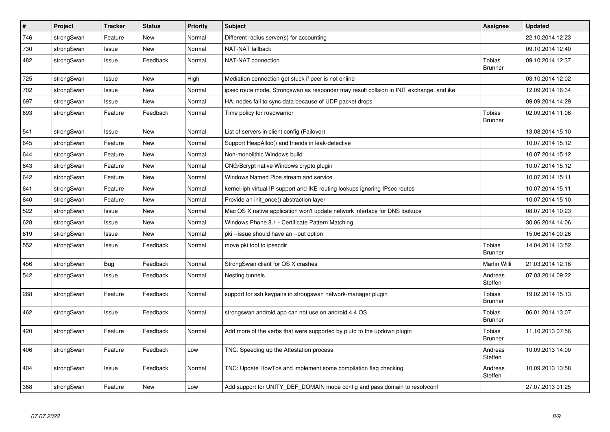| $\vert$ # | Project    | <b>Tracker</b> | <b>Status</b> | <b>Priority</b> | <b>Subject</b>                                                                          | <b>Assignee</b>                 | <b>Updated</b>   |
|-----------|------------|----------------|---------------|-----------------|-----------------------------------------------------------------------------------------|---------------------------------|------------------|
| 746       | strongSwan | Feature        | New           | Normal          | Different radius server(s) for accounting                                               |                                 | 22.10.2014 12:23 |
| 730       | strongSwan | Issue          | <b>New</b>    | Normal          | NAT-NAT fallback                                                                        |                                 | 09.10.2014 12:40 |
| 482       | strongSwan | Issue          | Feedback      | Normal          | NAT-NAT connection                                                                      | Tobias<br><b>Brunner</b>        | 09.10.2014 12:37 |
| 725       | strongSwan | Issue          | <b>New</b>    | High            | Mediation connection get stuck if peer is not online                                    |                                 | 03.10.2014 12:02 |
| 702       | strongSwan | Issue          | <b>New</b>    | Normal          | ipsec route mode, Strongswan as responder may result collsion in INIT exchange. and ike |                                 | 12.09.2014 16:34 |
| 697       | strongSwan | Issue          | <b>New</b>    | Normal          | HA: nodes fail to sync data because of UDP packet drops                                 |                                 | 09.09.2014 14:29 |
| 693       | strongSwan | Feature        | Feedback      | Normal          | Time policy for roadwarrior                                                             | <b>Tobias</b><br><b>Brunner</b> | 02.09.2014 11:06 |
| 541       | strongSwan | Issue          | <b>New</b>    | Normal          | List of servers in client config (Failover)                                             |                                 | 13.08.2014 15:10 |
| 645       | strongSwan | Feature        | <b>New</b>    | Normal          | Support HeapAlloc() and friends in leak-detective                                       |                                 | 10.07.2014 15:12 |
| 644       | strongSwan | Feature        | New           | Normal          | Non-monolithic Windows build                                                            |                                 | 10.07.2014 15:12 |
| 643       | strongSwan | Feature        | New           | Normal          | CNG/Bcrypt native Windows crypto plugin                                                 |                                 | 10.07.2014 15:12 |
| 642       | strongSwan | Feature        | <b>New</b>    | Normal          | Windows Named Pipe stream and service                                                   |                                 | 10.07.2014 15:11 |
| 641       | strongSwan | Feature        | New           | Normal          | kernel-iph virtual IP support and IKE routing lookups ignoring IPsec routes             |                                 | 10.07.2014 15:11 |
| 640       | strongSwan | Feature        | New           | Normal          | Provide an init once() abstraction layer                                                |                                 | 10.07.2014 15:10 |
| 522       | strongSwan | Issue          | <b>New</b>    | Normal          | Mac OS X native application won't update network interface for DNS lookups              |                                 | 08.07.2014 10:23 |
| 628       | strongSwan | Issue          | <b>New</b>    | Normal          | Windows Phone 8.1 - Certificate Pattern Matching                                        |                                 | 30.06.2014 14:06 |
| 619       | strongSwan | Issue          | <b>New</b>    | Normal          | pki --issue should have an --out option                                                 |                                 | 15.06.2014 00:26 |
| 552       | strongSwan | Issue          | Feedback      | Normal          | move pki tool to ipsecdir                                                               | Tobias<br><b>Brunner</b>        | 14.04.2014 13:52 |
| 456       | strongSwan | <b>Bug</b>     | Feedback      | Normal          | StrongSwan client for OS X crashes                                                      | Martin Willi                    | 21.03.2014 12:16 |
| 542       | strongSwan | Issue          | Feedback      | Normal          | Nesting tunnels                                                                         | Andreas<br>Steffen              | 07.03.2014 09:22 |
| 268       | strongSwan | Feature        | Feedback      | Normal          | support for ssh keypairs in strongswan network-manager plugin                           | Tobias<br><b>Brunner</b>        | 19.02.2014 15:13 |
| 462       | strongSwan | Issue          | Feedback      | Normal          | strongswan android app can not use on android 4.4 OS                                    | <b>Tobias</b><br><b>Brunner</b> | 06.01.2014 13:07 |
| 420       | strongSwan | Feature        | Feedback      | Normal          | Add more of the verbs that were supported by pluto to the updown plugin                 | <b>Tobias</b><br><b>Brunner</b> | 11.10.2013 07:56 |
| 406       | strongSwan | Feature        | Feedback      | Low             | TNC: Speeding up the Attestation process                                                | Andreas<br>Steffen              | 10.09.2013 14:00 |
| 404       | strongSwan | Issue          | Feedback      | Normal          | TNC: Update HowTos and implement some compilation flag checking                         | Andreas<br>Steffen              | 10.09.2013 13:58 |
| 368       | strongSwan | Feature        | New           | Low             | Add support for UNITY_DEF_DOMAIN mode config and pass domain to resolvconf              |                                 | 27.07.2013 01:25 |